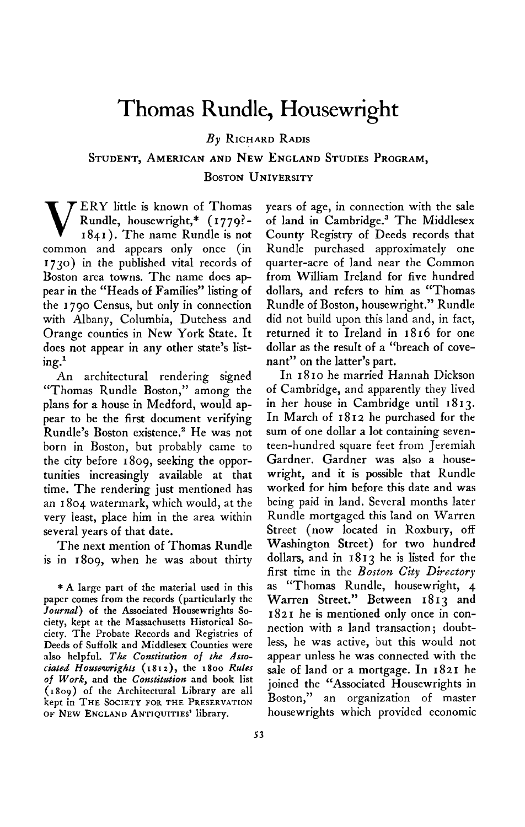## **Thomas Rundle, Housewright**

**By RICHARD RADIS** 

## **STUDENT, AMERICAN AND NEW ENGLAND STUDIES PROGRAM, BOSTON UNIVERSITY**

**V** ERY little is known of Thomas Rundle, housewright,\* (1779? **Rundle, housewright,\* (I 779?- ERY little is known of Inomas<br>Rundle, housewright,\* (1779?-<br>1841). The name Rundle is not common and appears only once (in 1730) in the published vital records of Boston area towns. The name does appear in the "Heads of Families" listing of the 1790 Census, but only in connection with Albany, Columbia, Dutchess and Orange counties in New York State. It does not appear in any other state's listing.'** 

**An architectural rendering signed "Thomas Rundle Boston," among the plans for a house in Medford, would appear to be the first document verifying Rundle's Boston existence.' He was not born in Boston, but probably came to the city before 1809, seeking the opportunities increasingly available at that time. The rendering just mentioned has an I 804 watermark, which would, at the very least, place him in the area within several years of that date.** 

**The next mention of Thomas Rundle is in 1809, when he was about thirty** 

**\* A large part of the material used in this paper comes from the records (particularly the Joumul) of the Associated Housewrights Society, kept at the Massachusetts Historical Society. The Probate Records and Registries of Deeds of Suffolk and Middlesex Counties were**  also helpful. The Constitution of the Associated Housewrights (1812), the 1800 Rules of Work, and the Constitution and book list **(I 809) of the Architectural Library are all kept in THE SOCIETY FOR THE PRESERVATION OF NEW ENGLAND ANTIQUITIES' library.** 

**years of age, in connection with the sale of land in Cambridge.3 The Middlesex County Registry of Deeds records that Rundle purchased approximately one quarter-acre of land near the Common from William Ireland for five hundred dollars, and refers to him as "Thomas Rundle of Boston, housewright." Rundle did not build upon this land and, in fact, returned it to Ireland in I 8 16 for one dollar as the result of a "breach of covenant" on the latter's part.** 

**In I 8 I o he married Hannah Dickson of Cambridge, and apparently they lived in her house in Cambridge until 1813.**  In March of 1812 he purchased for the **sum of one dollar a lot containing seventeen-hundred square feet from Jeremiah Gardner. Gardner was also a housewright, and it is possible that Rundle worked for him before this date and was being paid in land. Several months later Rundle mortgaged this land on Warren Street (now located in Roxbury, off Washington Street) for two hundred dollars, and in 18 13 he is listed for the first time in the Boston City Directory as "Thomas Rundle, housewright, 4 Warren Street." Between 1813 and I 8 2 I he is mentioned only once in connection with a land transaction; doubtless, he was active, but this would not appear unless he was connected with the sale of land or a mortgage. In 1821 he joined the "Associated Housewrights in Boston," an organization of master housewrights which provided economic**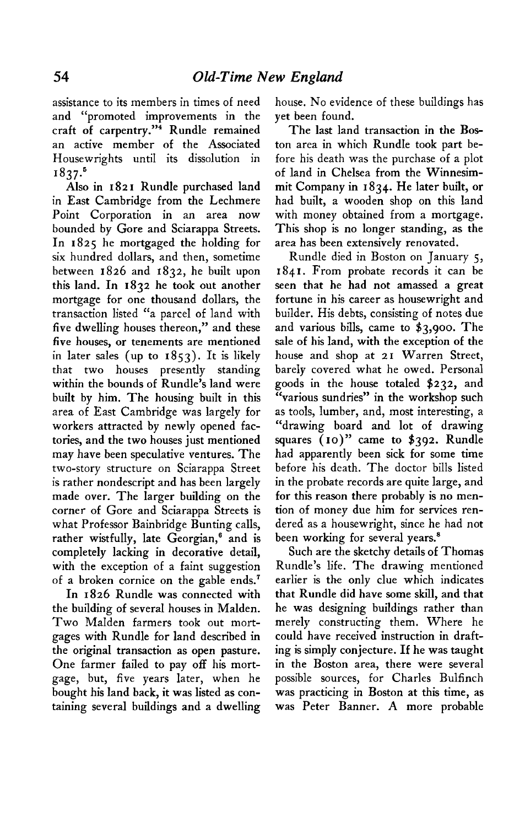**assistance to its members in times of need and "promoted improvements in the craft of carpentry."4 Rundle remained an active member of the Associated Housewrights until its dissolution in 1837.5** 

**Also in 182 I Rundle purchased land in East Cambridge from the Lechmere Point Corporation in an area now bounded by Gore and Sciarappa Streets. In 1825 he mortgaged the holding for six hundred dollars, and then, sometime between 1826 and 1832, he built upon this land. In 1832 he took out another mortgage for one thousand dollars, the transaction listed "a parcel of land with five dwelling houses thereon," and these five houses, or tenements are mentioned in later sales (up to 1853). It is likely that two houses presently standing within the bounds of Rundle's land were built by him. The housing built in this area of East Cambridge was largely for workers attracted by newly opened factories, and the two houses just mentioned may have been speculative ventures. The two-story structure on Sciarappa Street is rather nondescript and has been largely made over. The larger building on the corner of Gore and Sciarappa Streets is what Professor Bainbridge Bunting calls, rather wistfully, late Georgian,' and is completely lacking in decorative detail, with the exception of a faint suggestion of a broken cornice on the gable ends.'** 

**In 1826 Rundle was connected with the building of several houses in Malden. Two Malden farmers took out mortgages with Rundle for land described in the original transaction as open pasture. One farmer failed to pay off his mortgage, but, five years later, when he bought his land back, it was listed as containing several buildings and a dwelling** 

**house. No evidence of these buildings has yet been found.** 

**The last land transaction in the Boston area in which Rundle took part before his death was the purchase of a plot of land in Chelsea from the Winnesimmit Company in 1834. He later built, or had built, a wooden shop on this land with money obtained from a mortgage. This shop is no longer standing, as the area has been extensively renovated.** 

**Rundle died in Boston on January 5, 1841. From probate records it can be seen that he had not amassed a great fortune in his career as housewright and builder. His debts, consisting of notes due and various bills, came to \$3,900. The sale of his land, with the exception of the house and shop at 21 Warren Street, barely covered what he owed. Personal goods in the house totaled \$232, and "various sundries" in the workshop such as tools, lumber, and, most interesting, a "drawing board and lot of drawing squares (IO)" came to \$392. Rundle had apparently been sick for some time before his death. The doctor bills listed in the probate records are quite large, and for this reason there probably is no mention of money due him for services rendered as a housewright, since he had not been working for several years.'** 

**Such are the sketchy details of Thomas Rundle's life. The drawing mentioned earlier is the only clue which indicates that Rundle did have some skill, and that he was designing buildings rather than merely constructing them. Where he could have received instruction in drafting is simply conjecture. If he was taught in the Boston area, there were several possible sources, for Charles Bulfinch was practicing in Boston at this time, as was Peter Banner. A more probable**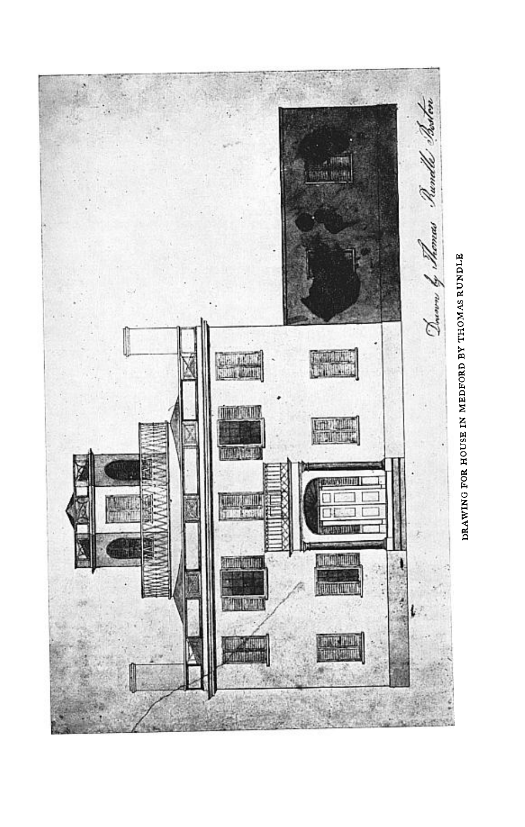

DRAWING FOR HOUSE IN MEDFORD BY THOMAS RUNDLE